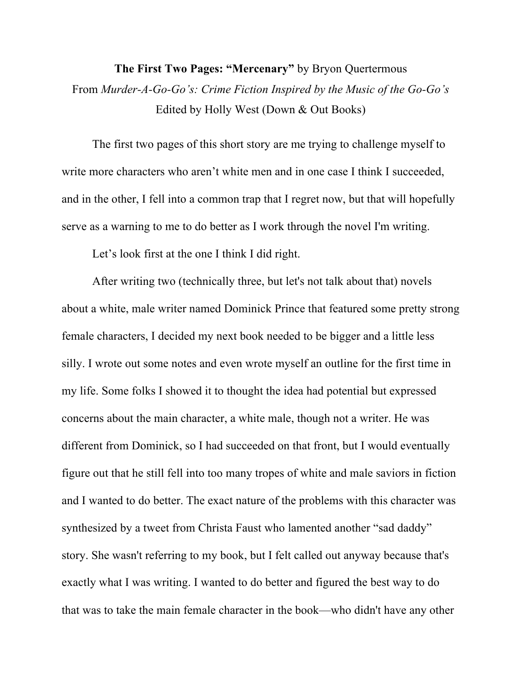**The First Two Pages: "Mercenary"** by Bryon Quertermous From *Murder-A-Go-Go's: Crime Fiction Inspired by the Music of the Go-Go's* Edited by Holly West (Down & Out Books)

The first two pages of this short story are me trying to challenge myself to write more characters who aren't white men and in one case I think I succeeded, and in the other, I fell into a common trap that I regret now, but that will hopefully serve as a warning to me to do better as I work through the novel I'm writing.

Let's look first at the one I think I did right.

After writing two (technically three, but let's not talk about that) novels about a white, male writer named Dominick Prince that featured some pretty strong female characters, I decided my next book needed to be bigger and a little less silly. I wrote out some notes and even wrote myself an outline for the first time in my life. Some folks I showed it to thought the idea had potential but expressed concerns about the main character, a white male, though not a writer. He was different from Dominick, so I had succeeded on that front, but I would eventually figure out that he still fell into too many tropes of white and male saviors in fiction and I wanted to do better. The exact nature of the problems with this character was synthesized by a tweet from Christa Faust who lamented another "sad daddy" story. She wasn't referring to my book, but I felt called out anyway because that's exactly what I was writing. I wanted to do better and figured the best way to do that was to take the main female character in the book—who didn't have any other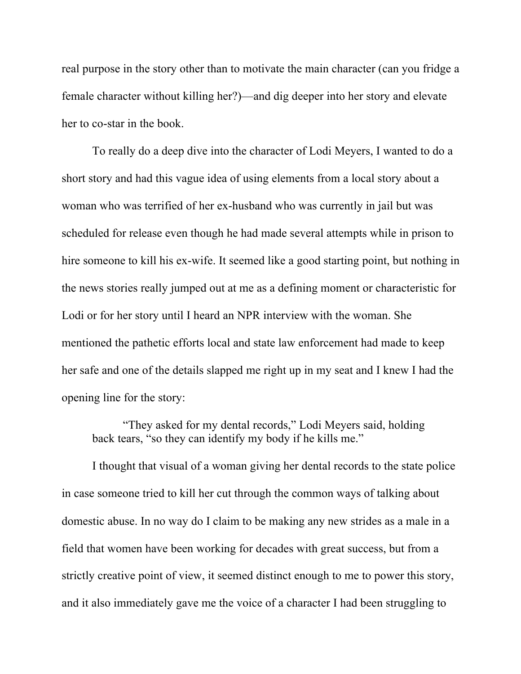real purpose in the story other than to motivate the main character (can you fridge a female character without killing her?)—and dig deeper into her story and elevate her to co-star in the book.

To really do a deep dive into the character of Lodi Meyers, I wanted to do a short story and had this vague idea of using elements from a local story about a woman who was terrified of her ex-husband who was currently in jail but was scheduled for release even though he had made several attempts while in prison to hire someone to kill his ex-wife. It seemed like a good starting point, but nothing in the news stories really jumped out at me as a defining moment or characteristic for Lodi or for her story until I heard an NPR interview with the woman. She mentioned the pathetic efforts local and state law enforcement had made to keep her safe and one of the details slapped me right up in my seat and I knew I had the opening line for the story:

"They asked for my dental records," Lodi Meyers said, holding back tears, "so they can identify my body if he kills me."

I thought that visual of a woman giving her dental records to the state police in case someone tried to kill her cut through the common ways of talking about domestic abuse. In no way do I claim to be making any new strides as a male in a field that women have been working for decades with great success, but from a strictly creative point of view, it seemed distinct enough to me to power this story, and it also immediately gave me the voice of a character I had been struggling to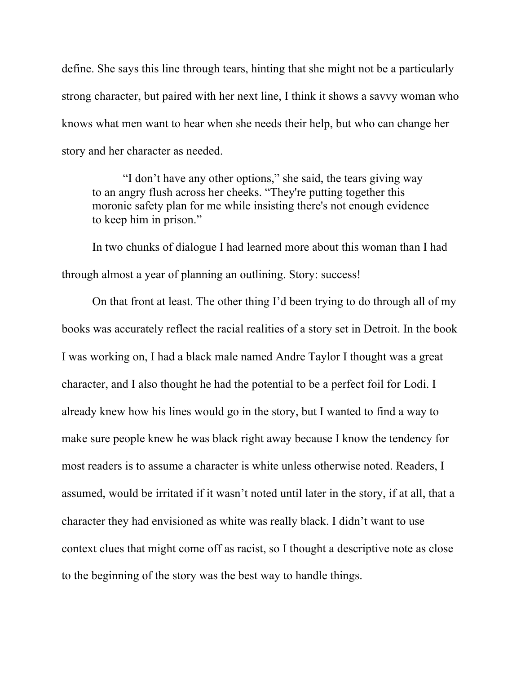define. She says this line through tears, hinting that she might not be a particularly strong character, but paired with her next line, I think it shows a savvy woman who knows what men want to hear when she needs their help, but who can change her story and her character as needed.

"I don't have any other options," she said, the tears giving way to an angry flush across her cheeks. "They're putting together this moronic safety plan for me while insisting there's not enough evidence to keep him in prison."

In two chunks of dialogue I had learned more about this woman than I had through almost a year of planning an outlining. Story: success!

On that front at least. The other thing I'd been trying to do through all of my books was accurately reflect the racial realities of a story set in Detroit. In the book I was working on, I had a black male named Andre Taylor I thought was a great character, and I also thought he had the potential to be a perfect foil for Lodi. I already knew how his lines would go in the story, but I wanted to find a way to make sure people knew he was black right away because I know the tendency for most readers is to assume a character is white unless otherwise noted. Readers, I assumed, would be irritated if it wasn't noted until later in the story, if at all, that a character they had envisioned as white was really black. I didn't want to use context clues that might come off as racist, so I thought a descriptive note as close to the beginning of the story was the best way to handle things.